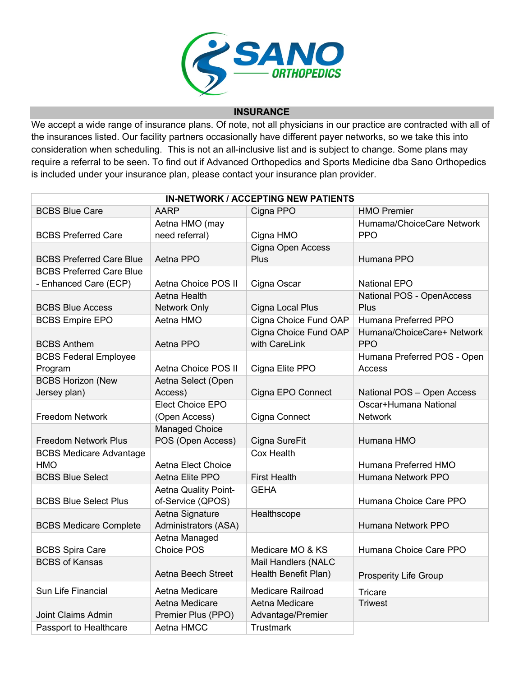

## **INSURANCE**

We accept a wide range of insurance plans. Of note, not all physicians in our practice are contracted with all of the insurances listed. Our facility partners occasionally have different payer networks, so we take this into consideration when scheduling. This is not an all-inclusive list and is subject to change. Some plans may require a referral to be seen. To find out if Advanced Orthopedics and Sports Medicine dba Sano Orthopedics is included under your insurance plan, please contact your insurance plan provider.

| <b>IN-NETWORK / ACCEPTING NEW PATIENTS</b> |                           |                          |                              |  |  |  |
|--------------------------------------------|---------------------------|--------------------------|------------------------------|--|--|--|
| <b>BCBS Blue Care</b>                      | <b>AARP</b>               | Cigna PPO                | <b>HMO Premier</b>           |  |  |  |
|                                            | Aetna HMO (may            |                          | Humama/ChoiceCare Network    |  |  |  |
| <b>BCBS Preferred Care</b>                 | need referral)            | Cigna HMO                | <b>PPO</b>                   |  |  |  |
|                                            |                           | Cigna Open Access        |                              |  |  |  |
| <b>BCBS Preferred Care Blue</b>            | Aetna PPO                 | <b>Plus</b>              | Humana PPO                   |  |  |  |
| <b>BCBS Preferred Care Blue</b>            |                           |                          |                              |  |  |  |
| - Enhanced Care (ECP)                      | Aetna Choice POS II       | Cigna Oscar              | <b>National EPO</b>          |  |  |  |
|                                            | Aetna Health              |                          | National POS - OpenAccess    |  |  |  |
| <b>BCBS Blue Access</b>                    | Network Only              | Cigna Local Plus         | Plus                         |  |  |  |
| <b>BCBS Empire EPO</b>                     | Aetna HMO                 | Cigna Choice Fund OAP    | Humana Preferred PPO         |  |  |  |
|                                            |                           | Cigna Choice Fund OAP    | Humana/ChoiceCare+ Network   |  |  |  |
| <b>BCBS Anthem</b>                         | Aetna PPO                 | with CareLink            | <b>PPO</b>                   |  |  |  |
| <b>BCBS Federal Employee</b>               |                           |                          | Humana Preferred POS - Open  |  |  |  |
| Program                                    | Aetna Choice POS II       | Cigna Elite PPO          | Access                       |  |  |  |
| <b>BCBS Horizon (New</b>                   | Aetna Select (Open        |                          |                              |  |  |  |
| Jersey plan)                               | Access)                   | Cigna EPO Connect        | National POS - Open Access   |  |  |  |
|                                            | Elect Choice EPO          |                          | Oscar+Humana National        |  |  |  |
| Freedom Network                            | (Open Access)             | Cigna Connect            | <b>Network</b>               |  |  |  |
|                                            | <b>Managed Choice</b>     |                          |                              |  |  |  |
| <b>Freedom Network Plus</b>                | POS (Open Access)         | Cigna SureFit            | Humana HMO                   |  |  |  |
| <b>BCBS Medicare Advantage</b>             |                           | <b>Cox Health</b>        |                              |  |  |  |
| <b>HMO</b>                                 | <b>Aetna Elect Choice</b> |                          | Humana Preferred HMO         |  |  |  |
| <b>BCBS Blue Select</b>                    | Aetna Elite PPO           | <b>First Health</b>      | Humana Network PPO           |  |  |  |
|                                            | Aetna Quality Point-      | <b>GEHA</b>              |                              |  |  |  |
| <b>BCBS Blue Select Plus</b>               | of-Service (QPOS)         |                          | Humana Choice Care PPO       |  |  |  |
|                                            | Aetna Signature           | Healthscope              |                              |  |  |  |
| <b>BCBS Medicare Complete</b>              | Administrators (ASA)      |                          | Humana Network PPO           |  |  |  |
|                                            | Aetna Managed             |                          |                              |  |  |  |
| <b>BCBS Spira Care</b>                     | Choice POS                | Medicare MO & KS         | Humana Choice Care PPO       |  |  |  |
| <b>BCBS of Kansas</b>                      |                           | Mail Handlers (NALC      |                              |  |  |  |
|                                            | Aetna Beech Street        | Health Benefit Plan)     | <b>Prosperity Life Group</b> |  |  |  |
| Sun Life Financial                         | Aetna Medicare            | <b>Medicare Railroad</b> | <b>Tricare</b>               |  |  |  |
|                                            | Aetna Medicare            | Aetna Medicare           | <b>Triwest</b>               |  |  |  |
| Joint Claims Admin                         | Premier Plus (PPO)        | Advantage/Premier        |                              |  |  |  |
| Passport to Healthcare                     | Aetna HMCC                | <b>Trustmark</b>         |                              |  |  |  |